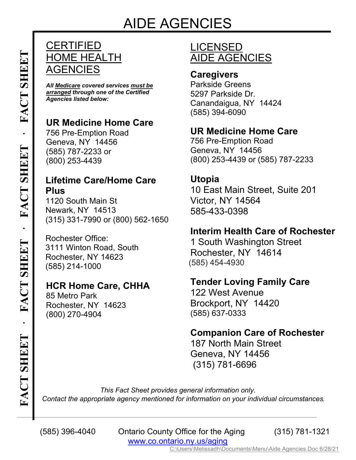## **CERTIFIED** HOME HEALTH AGENCIES

*All Medicare covered services must be arranged through one of the Certified Agencies listed below:*

## **UR Medicine Home Care**

756 Pre-Emption Road Geneva, NY 14456 (585) 787-2233 or (800) 253-4439

## **Lifetime Care/Home Care Plus**

1120 South Main St Newark, NY 14513 (315) 331-7990 or (800) 562-1650

Rochester Office: 3111 Winton Road, South Rochester, NY 14623 (585) 214-1000

## **HCR Home Care, CHHA**

85 Metro Park Rochester, NY 14623 (800) 270-4904

# LICENSED AIDE AGENCIES

### **Caregivers**

Parkside Greens 5297 Parkside Dr. Canandaigua, NY 14424 (585) 394-6090

## **UR Medicine Home Care**

756 Pre-Emption Road Geneva, NY 14456 (800) 253-4439 or (585) 787-2233

#### **Utopia**

10 East Main Street, Suite 201 Victor, NY 14564 585-433-0398

#### **Interim Health Care of Rochester**

1 South Washington Street Rochester, NY 14614 (585) 454-4930

### **Tender Loving Family Care**

122 West Avenue Brockport, NY 14420 (585) 637-0333

### **Companion Care of Rochester**

187 North Main Street Geneva, NY 14456 (315) 781-6696

*This Fact Sheet provides general information only. Contact the appropriate agency mentioned for information on your individual circumstances.*

 (585) 396-4040 Ontario County Office for the Aging (315) 781-1321 www.co.ontario.ny.us/aging

 $\Box$  . The contract of the contract of the contract of the contract of the contract of the contract of the contract of

C:\Users\Melissadh\Documents\Menu\Aide Agencies.Doc 6/28/21